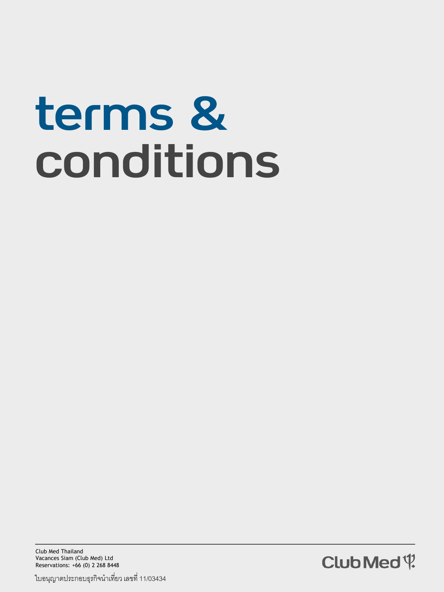# terms & conditions

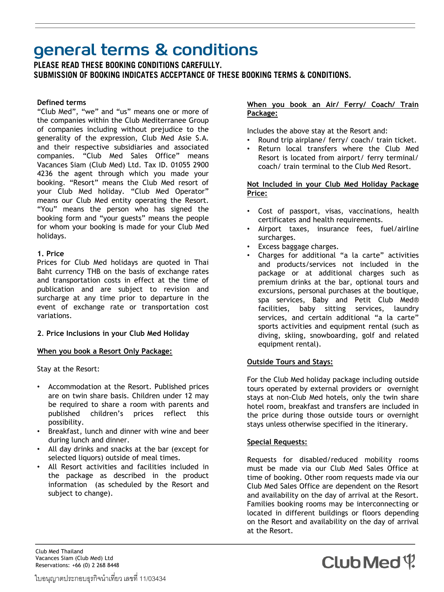### general terms & conditions

PLEASE READ THESE BOOKING CONDITIONS CAREFULLY. SUBMISSION OF BOOKING INDICATES ACCEPTANCE OF THESE BOOKING TERMS & CONDITIONS.

#### **Defined terms**

"Club Med", "we" and "us" means one or more of the companies within the Club Mediterranee Group of companies including without prejudice to the generality of the expression, Club Med Asie S.A. and their respective subsidiaries and associated companies. "Club Med Sales Office" means Vacances Siam (Club Med) Ltd. Tax ID. 01055 2900 4236 the agent through which you made your booking. "Resort" means the Club Med resort of your Club Med holiday. "Club Med Operator" means our Club Med entity operating the Resort. "You" means the person who has signed the booking form and "your guests" means the people for whom your booking is made for your Club Med holidays.

#### **1. Price**

Prices for Club Med holidays are quoted in Thai Baht currency THB on the basis of exchange rates and transportation costs in effect at the time of publication and are subject to revision and surcharge at any time prior to departure in the event of exchange rate or transportation cost variations.

#### **2**. **Price Inclusions in your Club Med Holiday**

#### **When you book a Resort Only Package:**

Stay at the Resort:

- Accommodation at the Resort. Published prices are on twin share basis. Children under 12 may be required to share a room with parents and published children's prices reflect this possibility.
- Breakfast, lunch and dinner with wine and beer during lunch and dinner.
- All day drinks and snacks at the bar (except for selected liquors) outside of meal times.
- All Resort activities and facilities included in the package as described in the product information (as scheduled by the Resort and subject to change).

#### **When you book an Air/ Ferry/ Coach/ Train Package:**

Includes the above stay at the Resort and:

- Round trip airplane/ ferry/ coach/ train ticket.
- Return local transfers where the Club Med Resort is located from airport/ ferry terminal/ coach/ train terminal to the Club Med Resort.

#### **Not Included in your Club Med Holiday Package Price:**

- Cost of passport, visas, vaccinations, health certificates and health requirements.
- Airport taxes, insurance fees, fuel/airline surcharges.
- Excess baggage charges.
- Charges for additional "a la carte" activities and products/services not included in the package or at additional charges such as premium drinks at the bar, optional tours and excursions, personal purchases at the boutique, spa services, Baby and Petit Club Med® facilities, baby sitting services, laundry services, and certain additional "a la carte" sports activities and equipment rental (such as diving, skiing, snowboarding, golf and related equipment rental).

#### **Outside Tours and Stays:**

For the Club Med holiday package including outside tours operated by external providers or overnight stays at non-Club Med hotels, only the twin share hotel room, breakfast and transfers are included in the price during those outside tours or overnight stays unless otherwise specified in the itinerary.

#### **Special Requests:**

Requests for disabled/reduced mobility rooms must be made via our Club Med Sales Office at time of booking. Other room requests made via our Club Med Sales Office are dependent on the Resort and availability on the day of arrival at the Resort. Families booking rooms may be interconnecting or located in different buildings or floors depending on the Resort and availability on the day of arrival at the Resort.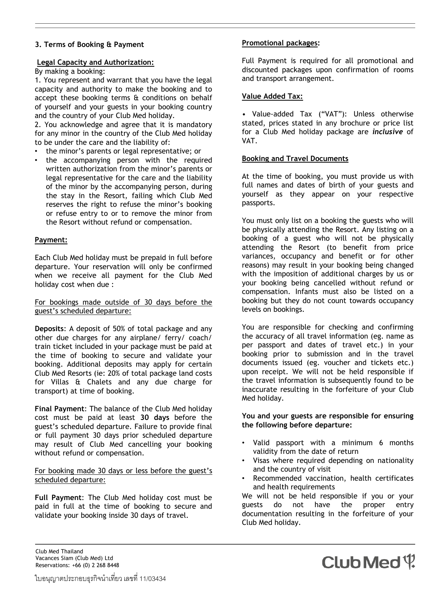#### **3. Terms of Booking & Payment**

#### **Legal Capacity and Authorization:**

#### By making a booking:

1. You represent and warrant that you have the legal capacity and authority to make the booking and to accept these booking terms & conditions on behalf of yourself and your guests in your booking country and the country of your Club Med holiday.

2. You acknowledge and agree that it is mandatory for any minor in the country of the Club Med holiday to be under the care and the liability of:

- the minor's parents or legal representative; or
- the accompanying person with the required written authorization from the minor's parents or legal representative for the care and the liability of the minor by the accompanying person, during the stay in the Resort, failing which Club Med reserves the right to refuse the minor's booking or refuse entry to or to remove the minor from the Resort without refund or compensation.

#### **Payment:**

Each Club Med holiday must be prepaid in full before departure. Your reservation will only be confirmed when we receive all payment for the Club Med holiday cost when due :

For bookings made outside of 30 days before the guest's scheduled departure:

**Deposits**: A deposit of 50% of total package and any other due charges for any airplane/ ferry/ coach/ train ticket included in your package must be paid at the time of booking to secure and validate your booking. Additional deposits may apply for certain Club Med Resorts (ie: 20% of total package land costs for Villas & Chalets and any due charge for transport) at time of booking.

**Final Payment**: The balance of the Club Med holiday cost must be paid at least **30 days** before the guest's scheduled departure. Failure to provide final or full payment 30 days prior scheduled departure may result of Club Med cancelling your booking without refund or compensation.

#### For booking made 30 days or less before the guest's scheduled departure:

**Full Payment**: The Club Med holiday cost must be paid in full at the time of booking to secure and validate your booking inside 30 days of travel.

#### **Promotional packages:**

Full Payment is required for all promotional and discounted packages upon confirmation of rooms and transport arrangement.

#### **Value Added Tax:**

• Value-added Tax ("VAT"): Unless otherwise stated, prices stated in any brochure or price list for a Club Med holiday package are *inclusive* of VAT.

#### **Booking and Travel Documents**

At the time of booking, you must provide us with full names and dates of birth of your guests and yourself as they appear on your respective passports.

You must only list on a booking the guests who will be physically attending the Resort. Any listing on a booking of a guest who will not be physically attending the Resort (to benefit from price variances, occupancy and benefit or for other reasons) may result in your booking being changed with the imposition of additional charges by us or your booking being cancelled without refund or compensation. Infants must also be listed on a booking but they do not count towards occupancy levels on bookings.

You are responsible for checking and confirming the accuracy of all travel information (eg. name as per passport and dates of travel etc.) in your booking prior to submission and in the travel documents issued (eg. voucher and tickets etc.) upon receipt. We will not be held responsible if the travel information is subsequently found to be inaccurate resulting in the forfeiture of your Club Med holiday.

**You and your guests are responsible for ensuring the following before departure:** 

- Valid passport with a minimum 6 months validity from the date of return
- Visas where required depending on nationality and the country of visit
- Recommended vaccination, health certificates and health requirements

We will not be held responsible if you or your guests do not have the proper entry documentation resulting in the forfeiture of your Club Med holiday.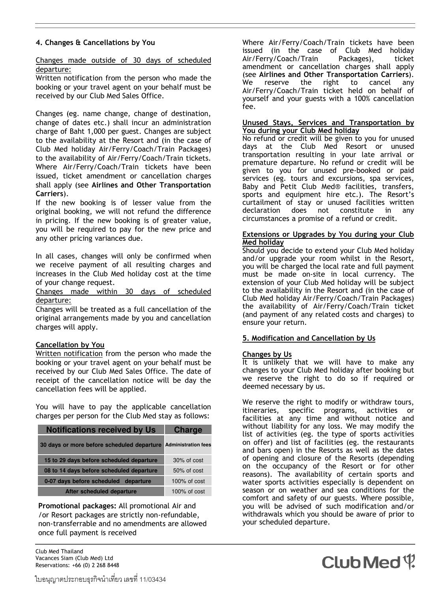#### **4. Changes & Cancellations by You**

Changes made outside of 30 days of scheduled departure:

Written notification from the person who made the booking or your travel agent on your behalf must be received by our Club Med Sales Office.

Changes (eg. name change, change of destination, change of dates etc.) shall incur an administration charge of Baht 1,000 per guest. Changes are subject to the availability at the Resort and (in the case of Club Med holiday Air/Ferry/Coach/Train Packages) to the availability of Air/Ferry/Coach/Train tickets. Where Air/Ferry/Coach/Train tickets have been issued, ticket amendment or cancellation charges shall apply (see **Airlines and Other Transportation Carriers**).

If the new booking is of lesser value from the original booking, we will not refund the difference in pricing. If the new booking is of greater value, you will be required to pay for the new price and any other pricing variances due.

In all cases, changes will only be confirmed when we receive payment of all resulting charges and increases in the Club Med holiday cost at the time of your change request.

Changes made within 30 days of scheduled departure:

Changes will be treated as a full cancellation of the original arrangements made by you and cancellation charges will apply.

#### **Cancellation by You**

Written notification from the person who made the booking or your travel agent on your behalf must be received by our Club Med Sales Office. The date of receipt of the cancellation notice will be day the cancellation fees will be applied.

You will have to pay the applicable cancellation charges per person for the Club Med stay as follows:

| <b>Notifications received by Us</b>        | <b>Charge</b>              |
|--------------------------------------------|----------------------------|
| 30 days or more before scheduled departure | <b>Administration fees</b> |
| 15 to 29 days before scheduled departure   | $30\%$ of cost             |
| 08 to 14 days before scheduled departure   | $50\%$ of cost             |
| 0-07 days before scheduled departure       | $100\%$ of cost            |
| After scheduled departure                  | $100\%$ of cost            |

**Promotional packages:** All promotional Air and /or Resort packages are strictly non-refundable, non-transferrable and no amendments are allowed once full payment is received

Club Med Thailand Vacances Siam (Club Med) Ltd Reservations: +66 (0) 2 268 8448 Where Air/Ferry/Coach/Train tickets have been issued (in the case of Club Med holiday Air/Ferry/Coach/Train Packages), ticket amendment or cancellation charges shall apply (see **Airlines and Other Transportation Carriers**). We reserve the right to cancel any Air/Ferry/Coach/Train ticket held on behalf of yourself and your guests with a 100% cancellation fee.

#### **Unused Stays, Services and Transportation by You during your Club Med holiday**

No refund or credit will be given to you for unused days at the Club Med Resort or unused transportation resulting in your late arrival or premature departure. No refund or credit will be given to you for unused pre-booked or paid services (eg. tours and excursions, spa services, Baby and Petit Club Med® facilities, transfers, sports and equipment hire etc.). The Resort's curtailment of stay or unused facilities written declaration does not constitute in any circumstances a promise of a refund or credit.

#### **Extensions or Upgrades by You during your Club Med holiday**

Should you decide to extend your Club Med holiday and/or upgrade your room whilst in the Resort, you will be charged the local rate and full payment must be made on-site in local currency. The extension of your Club Med holiday will be subject to the availability in the Resort and (in the case of Club Med holiday Air/Ferry/Coach/Train Packages) the availability of Air/Ferry/Coach/Train ticket (and payment of any related costs and charges) to ensure your return.

#### **5. Modification and Cancellation by Us**

#### **Changes by Us**

It is unlikely that we will have to make any changes to your Club Med holiday after booking but we reserve the right to do so if required or deemed necessary by us.

We reserve the right to modify or withdraw tours, itineraries, specific programs, activities or facilities at any time and without notice and without liability for any loss. We may modify the list of activities (eg. the type of sports activities on offer) and list of facilities (eg. the restaurants and bars open) in the Resorts as well as the dates of opening and closure of the Resorts (depending on the occupancy of the Resort or for other reasons). The availability of certain sports and water sports activities especially is dependent on season or on weather and sea conditions for the comfort and safety of our guests. Where possible, you will be advised of such modification and/or withdrawals which you should be aware of prior to your scheduled departure.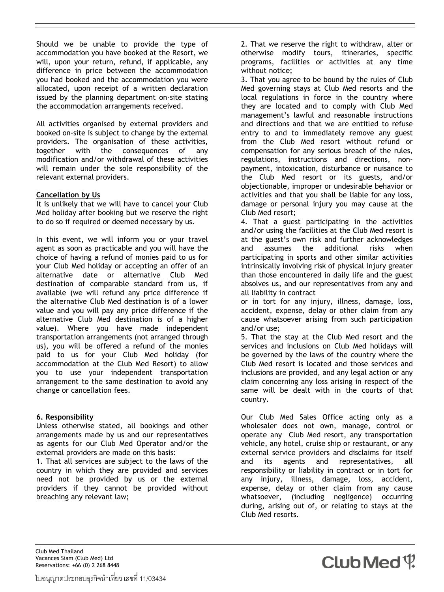Should we be unable to provide the type of accommodation you have booked at the Resort, we will, upon your return, refund, if applicable, any difference in price between the accommodation you had booked and the accommodation you were allocated, upon receipt of a written declaration issued by the planning department on-site stating the accommodation arrangements received.

All activities organised by external providers and booked on-site is subject to change by the external providers. The organisation of these activities, together with the consequences of any modification and/or withdrawal of these activities will remain under the sole responsibility of the relevant external providers.

#### **Cancellation by Us**

It is unlikely that we will have to cancel your Club Med holiday after booking but we reserve the right to do so if required or deemed necessary by us.

In this event, we will inform you or your travel agent as soon as practicable and you will have the choice of having a refund of monies paid to us for your Club Med holiday or accepting an offer of an alternative date or alternative Club Med destination of comparable standard from us, if available (we will refund any price difference if the alternative Club Med destination is of a lower value and you will pay any price difference if the alternative Club Med destination is of a higher value). Where you have made independent transportation arrangements (not arranged through us), you will be offered a refund of the monies paid to us for your Club Med holiday (for accommodation at the Club Med Resort) to allow you to use your independent transportation arrangement to the same destination to avoid any change or cancellation fees.

#### **6. Responsibility**

Unless otherwise stated, all bookings and other arrangements made by us and our representatives as agents for our Club Med Operator and/or the external providers are made on this basis:

1. That all services are subject to the laws of the country in which they are provided and services need not be provided by us or the external providers if they cannot be provided without breaching any relevant law;

2. That we reserve the right to withdraw, alter or otherwise modify tours, itineraries, specific programs, facilities or activities at any time without notice;

3. That you agree to be bound by the rules of Club Med governing stays at Club Med resorts and the local regulations in force in the country where they are located and to comply with Club Med management's lawful and reasonable instructions and directions and that we are entitled to refuse entry to and to immediately remove any guest from the Club Med resort without refund or compensation for any serious breach of the rules, regulations, instructions and directions, nonpayment, intoxication, disturbance or nuisance to the Club Med resort or its guests, and/or objectionable, improper or undesirable behavior or activities and that you shall be liable for any loss, damage or personal injury you may cause at the Club Med resort;

4. That a guest participating in the activities and/or using the facilities at the Club Med resort is at the guest's own risk and further acknowledges and assumes the additional risks when participating in sports and other similar activities intrinsically involving risk of physical injury greater than those encountered in daily life and the guest absolves us, and our representatives from any and all liability in contract

or in tort for any injury, illness, damage, loss, accident, expense, delay or other claim from any cause whatsoever arising from such participation and/or use;

5. That the stay at the Club Med resort and the services and inclusions on Club Med holidays will be governed by the laws of the country where the Club Med resort is located and those services and inclusions are provided, and any legal action or any claim concerning any loss arising in respect of the same will be dealt with in the courts of that country.

Our Club Med Sales Office acting only as a wholesaler does not own, manage, control or operate any Club Med resort, any transportation vehicle, any hotel, cruise ship or restaurant, or any external service providers and disclaims for itself and its agents and representatives, all responsibility or liability in contract or in tort for any injury, illness, damage, loss, accident, expense, delay or other claim from any cause whatsoever, (including negligence) occurring during, arising out of, or relating to stays at the Club Med resorts.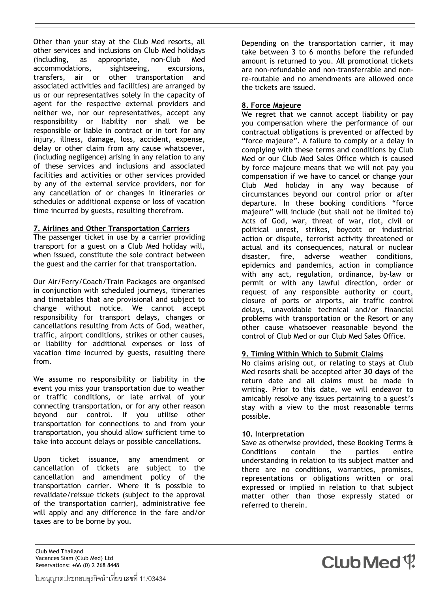Other than your stay at the Club Med resorts, all other services and inclusions on Club Med holidays (including, as appropriate, non-Club Med accommodations, sightseeing, excursions, transfers, air or other transportation and associated activities and facilities) are arranged by us or our representatives solely in the capacity of agent for the respective external providers and neither we, nor our representatives, accept any responsibility or liability nor shall we be responsible or liable in contract or in tort for any injury, illness, damage, loss, accident, expense, delay or other claim from any cause whatsoever, (including negligence) arising in any relation to any of these services and inclusions and associated facilities and activities or other services provided by any of the external service providers, nor for any cancellation of or changes in itineraries or schedules or additional expense or loss of vacation time incurred by guests, resulting therefrom.

#### **7. Airlines and Other Transportation Carriers**

The passenger ticket in use by a carrier providing transport for a guest on a Club Med holiday will, when issued, constitute the sole contract between the guest and the carrier for that transportation.

Our Air/Ferry/Coach/Train Packages are organised in conjunction with scheduled journeys, itineraries and timetables that are provisional and subject to change without notice. We cannot accept responsibility for transport delays, changes or cancellations resulting from Acts of God, weather, traffic, airport conditions, strikes or other causes, or liability for additional expenses or loss of vacation time incurred by guests, resulting there from.

We assume no responsibility or liability in the event you miss your transportation due to weather or traffic conditions, or late arrival of your connecting transportation, or for any other reason beyond our control. If you utilise other transportation for connections to and from your transportation, you should allow sufficient time to take into account delays or possible cancellations.

Upon ticket issuance, any amendment or cancellation of tickets are subject to the cancellation and amendment policy of the transportation carrier. Where it is possible to revalidate/reissue tickets (subject to the approval of the transportation carrier), administrative fee will apply and any difference in the fare and/or taxes are to be borne by you.

Depending on the transportation carrier, it may take between 3 to 6 months before the refunded amount is returned to you. All promotional tickets are non-refundable and non-transferrable and nonre-routable and no amendments are allowed once the tickets are issued.

#### **8. Force Majeure**

We regret that we cannot accept liability or pay you compensation where the performance of our contractual obligations is prevented or affected by "force majeure". A failure to comply or a delay in complying with these terms and conditions by Club Med or our Club Med Sales Office which is caused by force majeure means that we will not pay you compensation if we have to cancel or change your Club Med holiday in any way because of circumstances beyond our control prior or after departure. In these booking conditions "force majeure" will include (but shall not be limited to) Acts of God, war, threat of war, riot, civil or political unrest, strikes, boycott or industrial action or dispute, terrorist activity threatened or actual and its consequences, natural or nuclear disaster, fire, adverse weather conditions, epidemics and pandemics, action in compliance with any act, regulation, ordinance, by-law or permit or with any lawful direction, order or request of any responsible authority or court, closure of ports or airports, air traffic control delays, unavoidable technical and/or financial problems with transportation or the Resort or any other cause whatsoever reasonable beyond the control of Club Med or our Club Med Sales Office.

#### **9. Timing Within Which to Submit Claims**

No claims arising out, or relating to stays at Club Med resorts shall be accepted after **30 days** of the return date and all claims must be made in writing. Prior to this date, we will endeavor to amicably resolve any issues pertaining to a guest's stay with a view to the most reasonable terms possible.

#### **10. Interpretation**

Save as otherwise provided, these Booking Terms & Conditions contain the parties entire understanding in relation to its subject matter and there are no conditions, warranties, promises, representations or obligations written or oral expressed or implied in relation to that subject matter other than those expressly stated or referred to therein.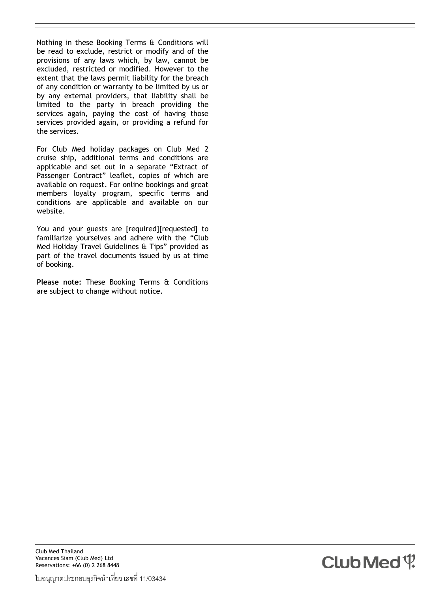Nothing in these Booking Terms & Conditions will be read to exclude, restrict or modify and of the provisions of any laws which, by law, cannot be excluded, restricted or modified. However to the extent that the laws permit liability for the breach of any condition or warranty to be limited by us or by any external providers, that liability shall be limited to the party in breach providing the services again, paying the cost of having those services provided again, or providing a refund for the services.

For Club Med holiday packages on Club Med 2 cruise ship, additional terms and conditions are applicable and set out in a separate "Extract of Passenger Contract" leaflet, copies of which are available on request. For online bookings and great members loyalty program, specific terms and conditions are applicable and available on our website.

You and your guests are [required][requested] to familiarize yourselves and adhere with the "Club Med Holiday Travel Guidelines & Tips" provided as part of the travel documents issued by us at time of booking.

**Please note:** These Booking Terms & Conditions are subject to change without notice.

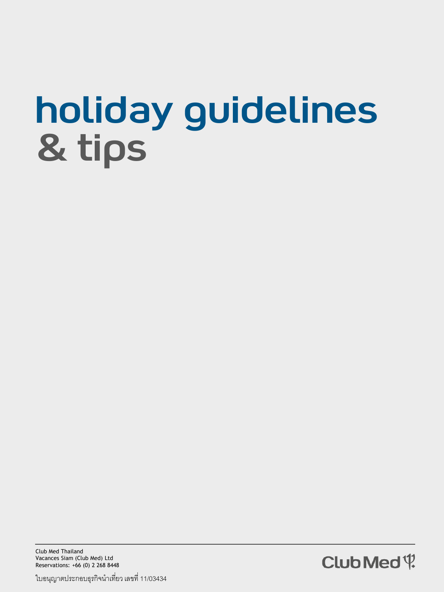## holiday guidelines & tips



ใบอนุญาตประกอบธุรกิจนำเที่ยว เลขที่ 11/03434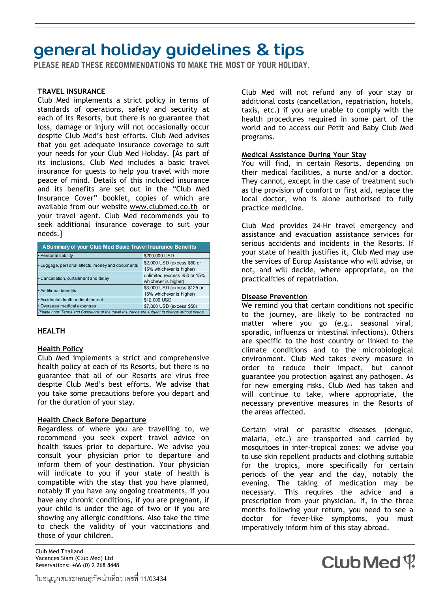## **general holiday guidelines & tips**<br>PLEASE READ THESE RECOMMENDATIONS TO MAKE THE MOST OF YOUR HOLIDAY.

#### **TRAVEL INSURANCE**

Club Med implements a strict policy in terms of standards of operations, safety and security at each of its Resorts, but there is no guarantee that loss, damage or injury will not occasionally occur despite Club Med's best efforts. Club Med advises that you get adequate insurance coverage to suit your needs for your Club Med Holiday. [As part of its inclusions, Club Med includes a basic travel insurance for guests to help you travel with more peace of mind. Details of this included insurance and its benefits are set out in the "Club Med Insurance Cover" booklet, copies of which are available from our website www.clubmed.co.th or your travel agent. Club Med recommends you to seek additional insurance coverage to suit your needs.]

| <b>A Summary of your Club Med Basic Travel Insurance Benefits</b>                               |                                                          |
|-------------------------------------------------------------------------------------------------|----------------------------------------------------------|
| • Personal liability                                                                            | \$200,000 USD                                            |
| • Luggage, personal effects, money and documents                                                | \$2,000 USD (excess \$50 or<br>15% whichever is higher)  |
| • Cancellation, curtailment and delay                                                           | unlimited (excess \$50 or 15%<br>whichever is higher)    |
| • Additional benefits                                                                           | \$3,000 USD (excess \$125 or<br>15% whichever is higher) |
| • Accidental death or disablement                                                               | \$12,000 USD                                             |
| · Overseas medical expenses                                                                     | \$7,800 USD (excess \$50)                                |
| Please note: Terms and Conditions of the travel insurance are subject to change without notice. |                                                          |

#### **HEALTH**

#### **Health Policy**

Club Med implements a strict and comprehensive health policy at each of its Resorts, but there is no guarantee that all of our Resorts are virus free despite Club Med's best efforts. We advise that you take some precautions before you depart and for the duration of your stay.

#### **Health Check Before Departure**

Regardless of where you are travelling to, we recommend you seek expert travel advice on health issues prior to departure. We advise you consult your physician prior to departure and inform them of your destination. Your physician will indicate to you if your state of health is compatible with the stay that you have planned, notably if you have any ongoing treatments, if you have any chronic conditions, if you are pregnant, if your child is under the age of two or if you are showing any allergic conditions. Also take the time to check the validity of your vaccinations and those of your children.

Club Med Thailand Vacances Siam (Club Med) Ltd Reservations: +66 (0) 2 268 8448 Club Med will not refund any of your stay or additional costs (cancellation, repatriation, hotels, taxis, etc.) if you are unable to comply with the health procedures required in some part of the world and to access our Petit and Baby Club Med programs.

#### **Medical Assistance During Your Stay**

You will find, in certain Resorts, depending on their medical facilities, a nurse and/or a doctor. They cannot, except in the case of treatment such as the provision of comfort or first aid, replace the local doctor, who is alone authorised to fully practice medicine.

Club Med provides 24-Hr travel emergency and assistance and evacuation assistance services for serious accidents and incidents in the Resorts. If your state of health justifies it, Club Med may use the services of Europ Assistance who will advise, or not, and will decide, where appropriate, on the practicalities of repatriation.

#### **Disease Prevention**

We remind you that certain conditions not specific to the journey, are likely to be contracted no matter where you go (e.g.. seasonal viral, sporadic, influenza or intestinal infections). Others are specific to the host country or linked to the climate conditions and to the microbiological environment. Club Med takes every measure in order to reduce their impact, but cannot guarantee you protection against any pathogen. As for new emerging risks, Club Med has taken and will continue to take, where appropriate, the necessary preventive measures in the Resorts of the areas affected.

Certain viral or parasitic diseases (dengue, malaria, etc.) are transported and carried by mosquitoes in inter-tropical zones: we advise you to use skin repellent products and clothing suitable for the tropics, more specifically for certain periods of the year and the day, notably the evening. The taking of medication may be necessary. This requires the advice and a prescription from your physician. If, in the three months following your return, you need to see a doctor for fever-like symptoms, you must imperatively inform him of this stay abroad.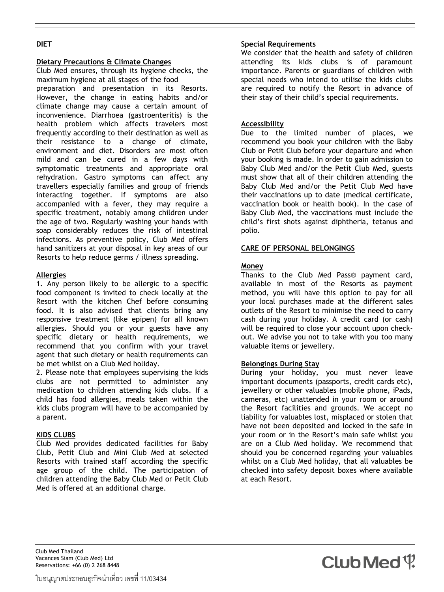#### **DIET**

#### **Dietary Precautions & Climate Changes**

Club Med ensures, through its hygiene checks, the maximum hygiene at all stages of the food preparation and presentation in its Resorts. However, the change in eating habits and/or climate change may cause a certain amount of inconvenience. Diarrhoea (gastroenteritis) is the health problem which affects travelers most frequently according to their destination as well as their resistance to a change of climate, environment and diet. Disorders are most often mild and can be cured in a few days with symptomatic treatments and appropriate oral rehydration. Gastro symptoms can affect any travellers especially families and group of friends interacting together. If symptoms are also accompanied with a fever, they may require a specific treatment, notably among children under the age of two. Regularly washing your hands with soap considerably reduces the risk of intestinal infections. As preventive policy, Club Med offers hand sanitizers at your disposal in key areas of our Resorts to help reduce germs / illness spreading.

#### **Allergies**

1. Any person likely to be allergic to a specific food component is invited to check locally at the Resort with the kitchen Chef before consuming food. It is also advised that clients bring any responsive treatment (like epipen) for all known allergies. Should you or your guests have any specific dietary or health requirements, we recommend that you confirm with your travel agent that such dietary or health requirements can be met whilst on a Club Med holiday.

2. Please note that employees supervising the kids clubs are not permitted to administer any medication to children attending kids clubs. If a child has food allergies, meals taken within the kids clubs program will have to be accompanied by a parent.

#### **KIDS CLUBS**

Club Med provides dedicated facilities for Baby Club, Petit Club and Mini Club Med at selected Resorts with trained staff according the specific age group of the child. The participation of children attending the Baby Club Med or Petit Club Med is offered at an additional charge.

#### **Special Requirements**

We consider that the health and safety of children attending its kids clubs is of paramount importance. Parents or guardians of children with special needs who intend to utilise the kids clubs are required to notify the Resort in advance of their stay of their child's special requirements.

#### **Accessibility**

Due to the limited number of places, we recommend you book your children with the Baby Club or Petit Club before your departure and when your booking is made. In order to gain admission to Baby Club Med and/or the Petit Club Med, guests must show that all of their children attending the Baby Club Med and/or the Petit Club Med have their vaccinations up to date (medical certificate, vaccination book or health book). In the case of Baby Club Med, the vaccinations must include the child's first shots against diphtheria, tetanus and polio.

#### **CARE OF PERSONAL BELONGINGS**

#### **Money**

Thanks to the Club Med Pass® payment card, available in most of the Resorts as payment method, you will have this option to pay for all your local purchases made at the different sales outlets of the Resort to minimise the need to carry cash during your holiday. A credit card (or cash) will be required to close your account upon checkout. We advise you not to take with you too many valuable items or jewellery.

#### **Belongings During Stay**

During your holiday, you must never leave important documents (passports, credit cards etc), jewellery or other valuables (mobile phone, iPads, cameras, etc) unattended in your room or around the Resort facilities and grounds. We accept no liability for valuables lost, misplaced or stolen that have not been deposited and locked in the safe in your room or in the Resort's main safe whilst you are on a Club Med holiday. We recommend that should you be concerned regarding your valuables whilst on a Club Med holiday, that all valuables be checked into safety deposit boxes where available at each Resort.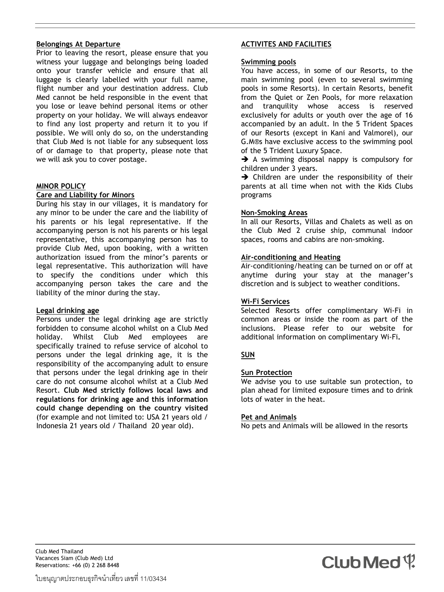#### **Belongings At Departure**

Prior to leaving the resort, please ensure that you witness your luggage and belongings being loaded onto your transfer vehicle and ensure that all luggage is clearly labelled with your full name, flight number and your destination address. Club Med cannot be held responsible in the event that you lose or leave behind personal items or other property on your holiday. We will always endeavor to find any lost property and return it to you if possible. We will only do so, on the understanding that Club Med is not liable for any subsequent loss of or damage to that property, please note that we will ask you to cover postage.

#### **MINOR POLICY**

#### **Care and Liability for Minors**

During his stay in our villages, it is mandatory for any minor to be under the care and the liability of his parents or his legal representative. If the accompanying person is not his parents or his legal representative, this accompanying person has to provide Club Med, upon booking, with a written authorization issued from the minor's parents or legal representative. This authorization will have to specify the conditions under which this accompanying person takes the care and the liability of the minor during the stay.

#### **Legal drinking age**

Persons under the legal drinking age are strictly forbidden to consume alcohol whilst on a Club Med holiday. Whilst Club Med employees are specifically trained to refuse service of alcohol to persons under the legal drinking age, it is the responsibility of the accompanying adult to ensure that persons under the legal drinking age in their care do not consume alcohol whilst at a Club Med Resort. **Club Med strictly follows local laws and regulations for drinking age and this information could change depending on the country visited**  (for example and not limited to: USA 21 years old / Indonesia 21 years old / Thailand 20 year old).

#### **ACTIVITES AND FACILITIES**

#### **Swimming pools**

You have access, in some of our Resorts, to the main swimming pool (even to several swimming pools in some Resorts). In certain Resorts, benefit from the Quiet or Zen Pools, for more relaxation and tranquility whose access is reserved exclusively for adults or youth over the age of 16 accompanied by an adult. In the 5 Trident Spaces of our Resorts (except in Kani and Valmorel), our G.M®s have exclusive access to the swimming pool of the 5 Trident Luxury Space.

A swimming disposal nappy is compulsory for children under 3 years.

 $\rightarrow$  Children are under the responsibility of their parents at all time when not with the Kids Clubs programs

#### **Non-Smoking Areas**

In all our Resorts, Villas and Chalets as well as on the Club Med 2 cruise ship, communal indoor spaces, rooms and cabins are non-smoking.

#### **Air-conditioning and Heating**

Air-conditioning/heating can be turned on or off at anytime during your stay at the manager's discretion and is subject to weather conditions.

#### **Wi-Fi Services**

Selected Resorts offer complimentary Wi-Fi in common areas or inside the room as part of the inclusions. Please refer to our website for additional information on complimentary Wi-Fi**.**

#### **SUN**

#### **Sun Protection**

We advise you to use suitable sun protection, to plan ahead for limited exposure times and to drink lots of water in the heat.

#### **Pet and Animals**

No pets and Animals will be allowed in the resorts